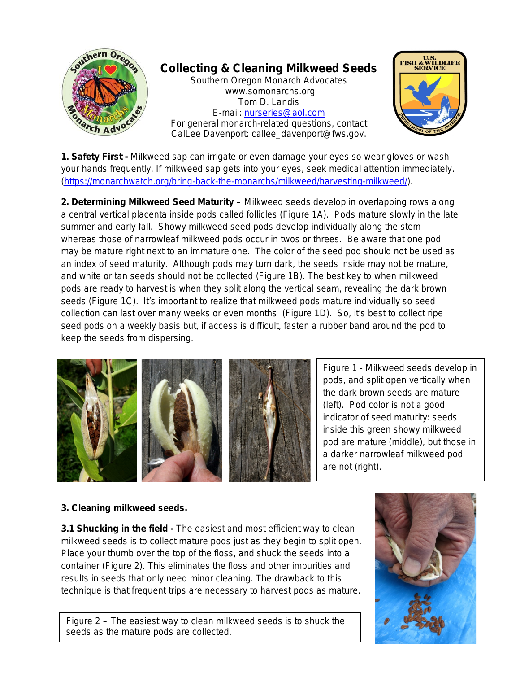

**1. Safety First -** Milkweed sap can irrigate or even damage your eyes so wear gloves or wash your hands frequently. If milkweed sap gets into your eyes, seek medical attention immediately. [\(https://monarchwatch.org/bring-back-the-monarchs/milkweed/harvesting-milkweed/\)](https://monarchwatch.org/bring-back-the-monarchs/milkweed/harvesting-milkweed/).

**2. Determining Milkweed Seed Maturity** – Milkweed seeds develop in overlapping rows along a central vertical placenta inside pods called follicles (Figure 1A). Pods mature slowly in the late summer and early fall. Showy milkweed seed pods develop individually along the stem whereas those of narrowleaf milkweed pods occur in twos or threes. Be aware that one pod may be mature right next to an immature one. The color of the seed pod should not be used as an index of seed maturity. Although pods may turn dark, the seeds inside may not be mature, and white or tan seeds should not be collected (Figure 1B). The best key to when milkweed pods are ready to harvest is when they split along the vertical seam, revealing the dark brown seeds (Figure 1C). It's important to realize that milkweed pods mature individually so seed collection can last over many weeks or even months (Figure 1D). So, it's best to collect ripe seed pods on a weekly basis but, if access is difficult, fasten a rubber band around the pod to keep the seeds from dispersing.



Figure 1 - Milkweed seeds develop in pods, and split open vertically when the dark brown seeds are mature (left). Pod color is not a good indicator of seed maturity: seeds inside this green showy milkweed pod are mature (middle), but those in a darker narrowleaf milkweed pod are not (right).

## **3. Cleaning milkweed seeds.**

**3.1 Shucking in the field -** The easiest and most efficient way to clean milkweed seeds is to collect mature pods just as they begin to split open. Place your thumb over the top of the floss, and shuck the seeds into a container (Figure 2). This eliminates the floss and other impurities and results in seeds that only need minor cleaning. The drawback to this technique is that frequent trips are necessary to harvest pods as mature.

Figure 2 – The easiest way to clean milkweed seeds is to shuck the seeds as the mature pods are collected.